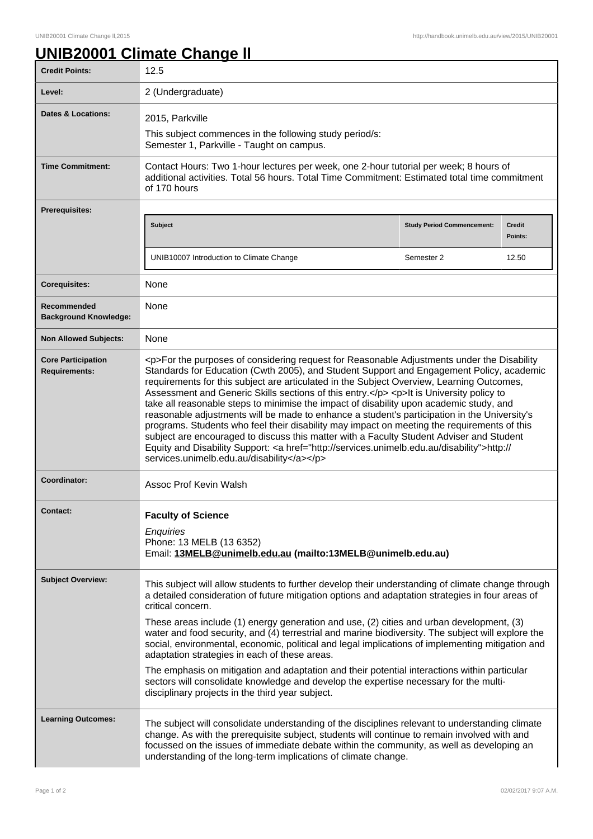## **UNIB20001 Climate Change ll**

| <b>Credit Points:</b>                             | 12.5                                                                                                                                                                                                                                                                                                                                                                                                                                                                                                                                                                                                                                                                                                                                                                                                                                                                                                                         |                                   |                   |
|---------------------------------------------------|------------------------------------------------------------------------------------------------------------------------------------------------------------------------------------------------------------------------------------------------------------------------------------------------------------------------------------------------------------------------------------------------------------------------------------------------------------------------------------------------------------------------------------------------------------------------------------------------------------------------------------------------------------------------------------------------------------------------------------------------------------------------------------------------------------------------------------------------------------------------------------------------------------------------------|-----------------------------------|-------------------|
| Level:                                            | 2 (Undergraduate)                                                                                                                                                                                                                                                                                                                                                                                                                                                                                                                                                                                                                                                                                                                                                                                                                                                                                                            |                                   |                   |
| Dates & Locations:                                | 2015, Parkville                                                                                                                                                                                                                                                                                                                                                                                                                                                                                                                                                                                                                                                                                                                                                                                                                                                                                                              |                                   |                   |
|                                                   | This subject commences in the following study period/s:<br>Semester 1, Parkville - Taught on campus.                                                                                                                                                                                                                                                                                                                                                                                                                                                                                                                                                                                                                                                                                                                                                                                                                         |                                   |                   |
| <b>Time Commitment:</b>                           | Contact Hours: Two 1-hour lectures per week, one 2-hour tutorial per week; 8 hours of<br>additional activities. Total 56 hours. Total Time Commitment: Estimated total time commitment<br>of 170 hours                                                                                                                                                                                                                                                                                                                                                                                                                                                                                                                                                                                                                                                                                                                       |                                   |                   |
| Prerequisites:                                    |                                                                                                                                                                                                                                                                                                                                                                                                                                                                                                                                                                                                                                                                                                                                                                                                                                                                                                                              |                                   |                   |
|                                                   | <b>Subject</b>                                                                                                                                                                                                                                                                                                                                                                                                                                                                                                                                                                                                                                                                                                                                                                                                                                                                                                               | <b>Study Period Commencement:</b> | Credit<br>Points: |
|                                                   | UNIB10007 Introduction to Climate Change                                                                                                                                                                                                                                                                                                                                                                                                                                                                                                                                                                                                                                                                                                                                                                                                                                                                                     | Semester 2                        | 12.50             |
| <b>Corequisites:</b>                              | None                                                                                                                                                                                                                                                                                                                                                                                                                                                                                                                                                                                                                                                                                                                                                                                                                                                                                                                         |                                   |                   |
| Recommended<br><b>Background Knowledge:</b>       | None                                                                                                                                                                                                                                                                                                                                                                                                                                                                                                                                                                                                                                                                                                                                                                                                                                                                                                                         |                                   |                   |
| <b>Non Allowed Subjects:</b>                      | None                                                                                                                                                                                                                                                                                                                                                                                                                                                                                                                                                                                                                                                                                                                                                                                                                                                                                                                         |                                   |                   |
| <b>Core Participation</b><br><b>Requirements:</b> | <p>For the purposes of considering request for Reasonable Adjustments under the Disability<br/>Standards for Education (Cwth 2005), and Student Support and Engagement Policy, academic<br/>requirements for this subject are articulated in the Subject Overview, Learning Outcomes,<br/>Assessment and Generic Skills sections of this entry.</p> <p>lt is University policy to<br/>take all reasonable steps to minimise the impact of disability upon academic study, and<br/>reasonable adjustments will be made to enhance a student's participation in the University's<br/>programs. Students who feel their disability may impact on meeting the requirements of this<br/>subject are encouraged to discuss this matter with a Faculty Student Adviser and Student<br/>Equity and Disability Support: &lt; a href="http://services.unimelb.edu.au/disability"&gt;http://<br/>services.unimelb.edu.au/disability</p> |                                   |                   |
| Coordinator:                                      | Assoc Prof Kevin Walsh                                                                                                                                                                                                                                                                                                                                                                                                                                                                                                                                                                                                                                                                                                                                                                                                                                                                                                       |                                   |                   |
| Contact:                                          | <b>Faculty of Science</b><br>Enquiries<br>Phone: 13 MELB (13 6352)<br>Email: 13MELB@unimelb.edu.au (mailto:13MELB@unimelb.edu.au)                                                                                                                                                                                                                                                                                                                                                                                                                                                                                                                                                                                                                                                                                                                                                                                            |                                   |                   |
| <b>Subject Overview:</b>                          | This subject will allow students to further develop their understanding of climate change through<br>a detailed consideration of future mitigation options and adaptation strategies in four areas of<br>critical concern.<br>These areas include (1) energy generation and use, (2) cities and urban development, (3)<br>water and food security, and (4) terrestrial and marine biodiversity. The subject will explore the<br>social, environmental, economic, political and legal implications of implementing mitigation and<br>adaptation strategies in each of these areas.<br>The emphasis on mitigation and adaptation and their potential interactions within particular                                                                                                                                                                                                                                            |                                   |                   |
|                                                   | sectors will consolidate knowledge and develop the expertise necessary for the multi-<br>disciplinary projects in the third year subject.                                                                                                                                                                                                                                                                                                                                                                                                                                                                                                                                                                                                                                                                                                                                                                                    |                                   |                   |
| <b>Learning Outcomes:</b>                         | The subject will consolidate understanding of the disciplines relevant to understanding climate<br>change. As with the prerequisite subject, students will continue to remain involved with and<br>focussed on the issues of immediate debate within the community, as well as developing an<br>understanding of the long-term implications of climate change.                                                                                                                                                                                                                                                                                                                                                                                                                                                                                                                                                               |                                   |                   |